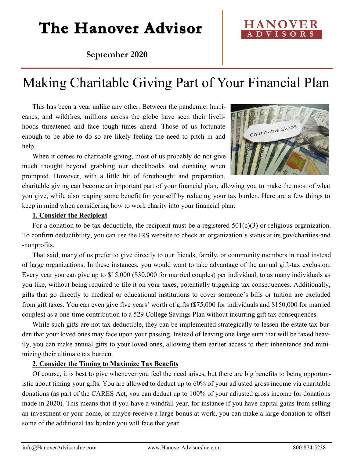## The Hanover Advisor

### **September 2020**

### Making Charitable Giving Part of Your Financial Plan

This has been a year unlike any other. Between the pandemic, hurricanes, and wildfires, millions across the globe have seen their livelihoods threatened and face tough times ahead. Those of us fortunate enough to be able to do so are likely feeling the need to pitch in and help.

When it comes to charitable giving, most of us probably do not give much thought beyond grabbing our checkbooks and donating when prompted. However, with a little bit of forethought and preparation,

charitable giving can become an important part of your financial plan, allowing you to make the most of what you give, while also reaping some benefit for yourself by reducing your tax burden. Here are a few things to keep in mind when considering how to work charity into your financial plan:

#### **1. Consider the Recipient**

For a donation to be tax deductible, the recipient must be a registered  $501(c)(3)$  or religious organization. To confirm deductibility, you can use the IRS website to check an organization's status at irs.gov/charities-and -nonprofits.

That said, many of us prefer to give directly to our friends, family, or community members in need instead of large organizations. In these instances, you would want to take advantage of the annual gift-tax exclusion. Every year you can give up to \$15,000 (\$30,000 for married couples) per individual, to as many individuals as you like, without being required to file it on your taxes, potentially triggering tax consequences. Additionally, gifts that go directly to medical or educational institutions to cover someone's bills or tuition are excluded from gift taxes. You can even give five years' worth of gifts (\$75,000 for individuals and \$150,000 for married couples) as a one-time contribution to a 529 College Savings Plan without incurring gift tax consequences.

While such gifts are not tax deductible, they can be implemented strategically to lessen the estate tax burden that your loved ones may face upon your passing. Instead of leaving one large sum that will be taxed heavily, you can make annual gifts to your loved ones, allowing them earlier access to their inheritance and minimizing their ultimate tax burden.

#### **2. Consider the Timing to Maximize Tax Benefits**

Of course, it is best to give whenever you feel the need arises, but there are big benefits to being opportunistic about timing your gifts. You are allowed to deduct up to 60% of your adjusted gross income via charitable donations (as part of the CARES Act, you can deduct up to 100% of your adjusted gross income for donations made in 2020). This means that if you have a windfall year, for instance if you have capital gains from selling an investment or your home, or maybe receive a large bonus at work, you can make a large donation to offset some of the additional tax burden you will face that year.



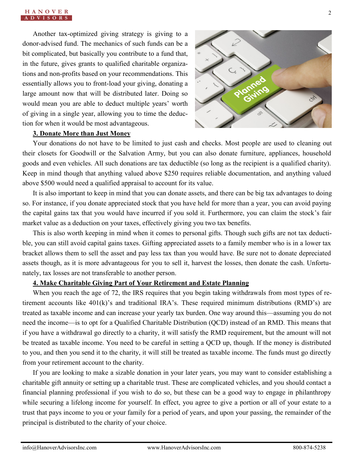Another tax-optimized giving strategy is giving to a donor-advised fund. The mechanics of such funds can be a bit complicated, but basically you contribute to a fund that, in the future, gives grants to qualified charitable organizations and non-profits based on your recommendations. This essentially allows you to front-load your giving, donating a large amount now that will be distributed later. Doing so would mean you are able to deduct multiple years' worth of giving in a single year, allowing you to time the deduction for when it would be most advantageous.



#### **3. Donate More than Just Money**

Your donations do not have to be limited to just cash and checks. Most people are used to cleaning out their closets for Goodwill or the Salvation Army, but you can also donate furniture, appliances, household goods and even vehicles. All such donations are tax deductible (so long as the recipient is a qualified charity). Keep in mind though that anything valued above \$250 requires reliable documentation, and anything valued above \$500 would need a qualified appraisal to account for its value.

It is also important to keep in mind that you can donate assets, and there can be big tax advantages to doing so. For instance, if you donate appreciated stock that you have held for more than a year, you can avoid paying the capital gains tax that you would have incurred if you sold it. Furthermore, you can claim the stock's fair market value as a deduction on your taxes, effectively giving you two tax benefits.

This is also worth keeping in mind when it comes to personal gifts. Though such gifts are not tax deductible, you can still avoid capital gains taxes. Gifting appreciated assets to a family member who is in a lower tax bracket allows them to sell the asset and pay less tax than you would have. Be sure not to donate depreciated assets though, as it is more advantageous for you to sell it, harvest the losses, then donate the cash. Unfortunately, tax losses are not transferable to another person.

#### **4. Make Charitable Giving Part of Your Retirement and Estate Planning**

When you reach the age of 72, the IRS requires that you begin taking withdrawals from most types of retirement accounts like 401(k)'s and traditional IRA's. These required minimum distributions (RMD's) are treated as taxable income and can increase your yearly tax burden. One way around this—assuming you do not need the income—is to opt for a Qualified Charitable Distribution (QCD) instead of an RMD. This means that if you have a withdrawal go directly to a charity, it will satisfy the RMD requirement, but the amount will not be treated as taxable income. You need to be careful in setting a QCD up, though. If the money is distributed to you, and then you send it to the charity, it will still be treated as taxable income. The funds must go directly from your retirement account to the charity.

If you are looking to make a sizable donation in your later years, you may want to consider establishing a charitable gift annuity or setting up a charitable trust. These are complicated vehicles, and you should contact a financial planning professional if you wish to do so, but these can be a good way to engage in philanthropy while securing a lifelong income for yourself. In effect, you agree to give a portion or all of your estate to a trust that pays income to you or your family for a period of years, and upon your passing, the remainder of the principal is distributed to the charity of your choice.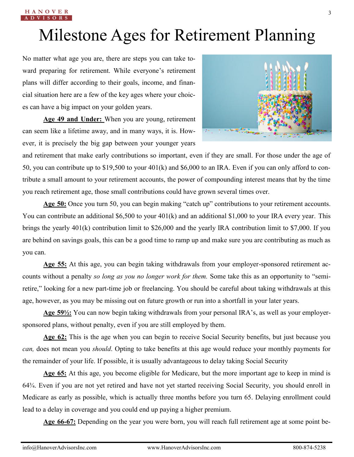# Milestone Ages for Retirement Planning

No matter what age you are, there are steps you can take toward preparing for retirement. While everyone's retirement plans will differ according to their goals, income, and financial situation here are a few of the key ages where your choices can have a big impact on your golden years.

**Age 49 and Under:** When you are young, retirement can seem like a lifetime away, and in many ways, it is. However, it is precisely the big gap between your younger years



and retirement that make early contributions so important, even if they are small. For those under the age of 50, you can contribute up to \$19,500 to your 401(k) and \$6,000 to an IRA. Even if you can only afford to contribute a small amount to your retirement accounts, the power of compounding interest means that by the time you reach retirement age, those small contributions could have grown several times over.

**Age 50:** Once you turn 50, you can begin making "catch up" contributions to your retirement accounts. You can contribute an additional \$6,500 to your 401(k) and an additional \$1,000 to your IRA every year. This brings the yearly 401(k) contribution limit to \$26,000 and the yearly IRA contribution limit to \$7,000. If you are behind on savings goals, this can be a good time to ramp up and make sure you are contributing as much as you can.

**Age 55:** At this age, you can begin taking withdrawals from your employer-sponsored retirement accounts without a penalty *so long as you no longer work for them.* Some take this as an opportunity to "semiretire," looking for a new part-time job or freelancing. You should be careful about taking withdrawals at this age, however, as you may be missing out on future growth or run into a shortfall in your later years.

**Age 59½:** You can now begin taking withdrawals from your personal IRA's, as well as your employersponsored plans, without penalty, even if you are still employed by them.

**Age 62:** This is the age when you can begin to receive Social Security benefits, but just because you *can,* does not mean you *should*. Opting to take benefits at this age would reduce your monthly payments for the remainder of your life. If possible, it is usually advantageous to delay taking Social Security

**Age 65:** At this age, you become eligible for Medicare, but the more important age to keep in mind is 64¾. Even if you are not yet retired and have not yet started receiving Social Security, you should enroll in Medicare as early as possible, which is actually three months before you turn 65. Delaying enrollment could lead to a delay in coverage and you could end up paying a higher premium.

**Age 66-67:** Depending on the year you were born, you will reach full retirement age at some point be-